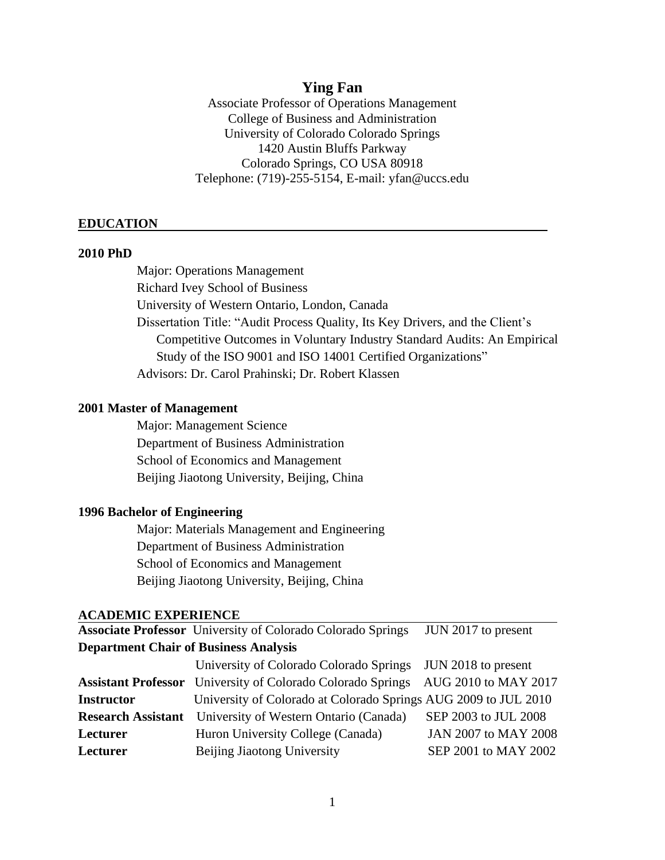## **Ying Fan**

Associate Professor of Operations Management College of Business and Administration University of Colorado Colorado Springs 1420 Austin Bluffs Parkway Colorado Springs, CO USA 80918 Telephone: (719)-255-5154, E-mail: yfan@uccs.edu

#### **EDUCATION**

#### **2010 PhD**

Major: Operations Management Richard Ivey School of Business University of Western Ontario, London, Canada Dissertation Title: "Audit Process Quality, Its Key Drivers, and the Client's Competitive Outcomes in Voluntary Industry Standard Audits: An Empirical Study of the ISO 9001 and ISO 14001 Certified Organizations" Advisors: Dr. Carol Prahinski; Dr. Robert Klassen

### **2001 Master of Management**

Major: Management Science Department of Business Administration School of Economics and Management Beijing Jiaotong University, Beijing, China

#### **1996 Bachelor of Engineering**

Major: Materials Management and Engineering Department of Business Administration School of Economics and Management Beijing Jiaotong University, Beijing, China

#### **ACADEMIC EXPERIENCE**

**Associate Professor** University of Colorado Colorado Springs JUN 2017 to present **Department Chair of Business Analysis**

|                   | University of Colorado Colorado Springs JUN 2018 to present                             |                      |
|-------------------|-----------------------------------------------------------------------------------------|----------------------|
|                   | <b>Assistant Professor</b> University of Colorado Colorado Springs AUG 2010 to MAY 2017 |                      |
| <b>Instructor</b> | University of Colorado at Colorado Springs AUG 2009 to JUL 2010                         |                      |
|                   | <b>Research Assistant</b> University of Western Ontario (Canada)                        | SEP 2003 to JUL 2008 |
| Lecturer          | Huron University College (Canada)                                                       | JAN 2007 to MAY 2008 |
| Lecturer          | Beijing Jiaotong University                                                             | SEP 2001 to MAY 2002 |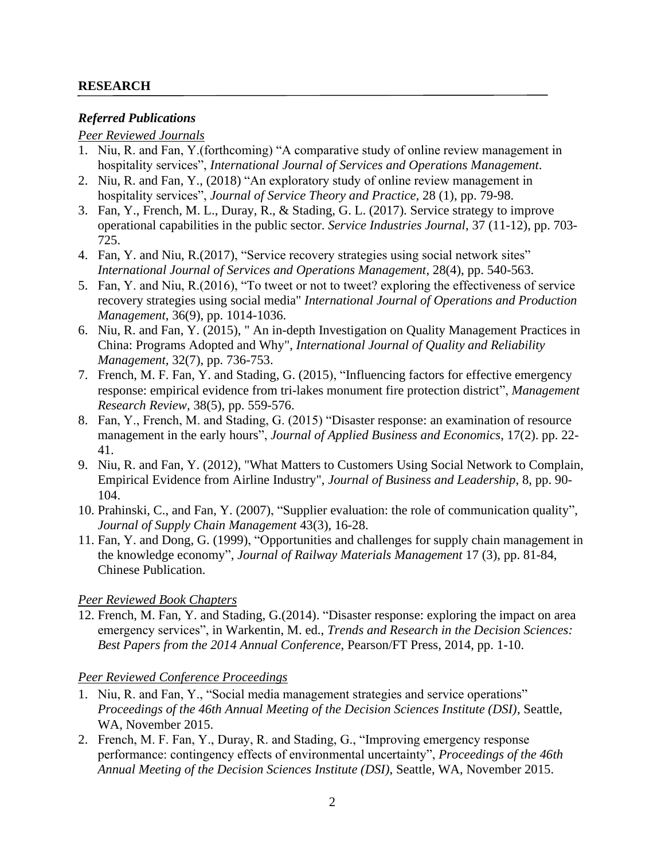### **RESEARCH**

### *Referred Publications*

### *Peer Reviewed Journals*

- 1. Niu, R. and Fan, Y.(forthcoming) "A comparative study of online review management in hospitality services", *International Journal of Services and Operations Management*.
- 2. Niu, R. and Fan, Y., (2018) "An exploratory study of online review management in hospitality services", *Journal of Service Theory and Practice,* 28 (1), pp. 79-98.
- 3. Fan, Y., French, M. L., Duray, R., & Stading, G. L. (2017). Service strategy to improve operational capabilities in the public sector. *Service Industries Journal*, 37 (11-12), pp. 703- 725.
- 4. Fan, Y. and Niu, R.(2017), "Service recovery strategies using social network sites" *International Journal of Services and Operations Management*, 28(4), pp. 540-563.
- 5. Fan, Y. and Niu, R.(2016), "To tweet or not to tweet? exploring the effectiveness of service recovery strategies using social media" *International Journal of Operations and Production Management*, 36(9), pp. 1014-1036.
- 6. Niu, R. and Fan, Y. (2015), " An in-depth Investigation on Quality Management Practices in China: Programs Adopted and Why", *International Journal of Quality and Reliability Management,* 32(7), pp. 736-753.
- 7. French, M. F. Fan, Y. and Stading, G. (2015), "Influencing factors for effective emergency response: empirical evidence from tri-lakes monument fire protection district", *Management Research Review,* 38(5), pp. 559-576.
- 8. Fan, Y., French, M. and Stading, G. (2015) "Disaster response: an examination of resource management in the early hours", *Journal of Applied Business and Economics*, 17(2). pp. 22- 41.
- 9. Niu, R. and Fan, Y. (2012), "What Matters to Customers Using Social Network to Complain, Empirical Evidence from Airline Industry", *Journal of Business and Leadership*, 8, pp. 90- 104.
- 10. Prahinski, C., and Fan, Y. (2007), "Supplier evaluation: the role of communication quality", *Journal of Supply Chain Management* 43(3), 16-28.
- 11. Fan, Y. and Dong, G. (1999), "Opportunities and challenges for supply chain management in the knowledge economy", *Journal of Railway Materials Management* 17 (3), pp. 81-84, Chinese Publication.

### *Peer Reviewed Book Chapters*

12. French, M. Fan, Y. and Stading, G.(2014). "Disaster response: exploring the impact on area emergency services", in Warkentin, M. ed., *Trends and Research in the Decision Sciences: Best Papers from the 2014 Annual Conference*, Pearson/FT Press, 2014, pp. 1-10.

### *Peer Reviewed Conference Proceedings*

- 1. Niu, R. and Fan, Y., "Social media management strategies and service operations" *Proceedings of the 46th Annual Meeting of the Decision Sciences Institute (DSI)*, Seattle, WA, November 2015.
- 2. French, M. F. Fan, Y., Duray, R. and Stading, G., "Improving emergency response performance: contingency effects of environmental uncertainty", *Proceedings of the 46th Annual Meeting of the Decision Sciences Institute (DSI)*, Seattle, WA, November 2015.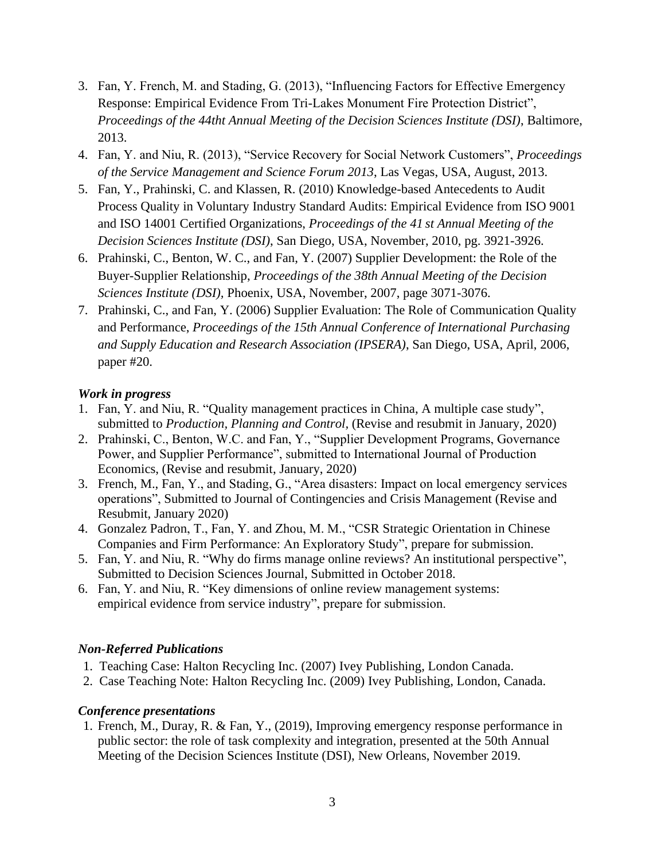- 3. Fan, Y. French, M. and Stading, G. (2013), "Influencing Factors for Effective Emergency Response: Empirical Evidence From Tri-Lakes Monument Fire Protection District", *Proceedings of the 44tht Annual Meeting of the Decision Sciences Institute (DSI)*, Baltimore, 2013.
- 4. Fan, Y. and Niu, R. (2013), "Service Recovery for Social Network Customers", *Proceedings of the Service Management and Science Forum 2013*, Las Vegas, USA, August, 2013.
- 5. Fan, Y., Prahinski, C. and Klassen, R. (2010) Knowledge-based Antecedents to Audit Process Quality in Voluntary Industry Standard Audits: Empirical Evidence from ISO 9001 and ISO 14001 Certified Organizations, *Proceedings of the 41 st Annual Meeting of the Decision Sciences Institute (DSI)*, San Diego, USA, November, 2010, pg. 3921-3926.
- 6. Prahinski, C., Benton, W. C., and Fan, Y. (2007) Supplier Development: the Role of the Buyer-Supplier Relationship, *Proceedings of the 38th Annual Meeting of the Decision Sciences Institute (DSI),* Phoenix, USA, November, 2007, page 3071-3076.
- 7. Prahinski, C., and Fan, Y. (2006) Supplier Evaluation: The Role of Communication Quality and Performance, *Proceedings of the 15th Annual Conference of International Purchasing and Supply Education and Research Association (IPSERA)*, San Diego, USA, April, 2006, paper #20.

# *Work in progress*

- 1. Fan, Y. and Niu, R. "Quality management practices in China, A multiple case study", submitted to *Production, Planning and Control,* (Revise and resubmit in January, 2020)
- 2. Prahinski, C., Benton, W.C. and Fan, Y., "Supplier Development Programs, Governance Power, and Supplier Performance", submitted to International Journal of Production Economics, (Revise and resubmit, January, 2020)
- 3. French, M., Fan, Y., and Stading, G., "Area disasters: Impact on local emergency services operations", Submitted to Journal of Contingencies and Crisis Management (Revise and Resubmit, January 2020)
- 4. Gonzalez Padron, T., Fan, Y. and Zhou, M. M., "CSR Strategic Orientation in Chinese Companies and Firm Performance: An Exploratory Study", prepare for submission.
- 5. Fan, Y. and Niu, R. "Why do firms manage online reviews? An institutional perspective", Submitted to Decision Sciences Journal, Submitted in October 2018.
- 6. Fan, Y. and Niu, R. "Key dimensions of online review management systems: empirical evidence from service industry", prepare for submission.

# *Non-Referred Publications*

- 1. Teaching Case: Halton Recycling Inc. (2007) Ivey Publishing, London Canada.
- 2. Case Teaching Note: Halton Recycling Inc. (2009) Ivey Publishing, London, Canada.

# *Conference presentations*

1. French, M., Duray, R. & Fan, Y., (2019), Improving emergency response performance in public sector: the role of task complexity and integration, presented at the 50th Annual Meeting of the Decision Sciences Institute (DSI), New Orleans, November 2019.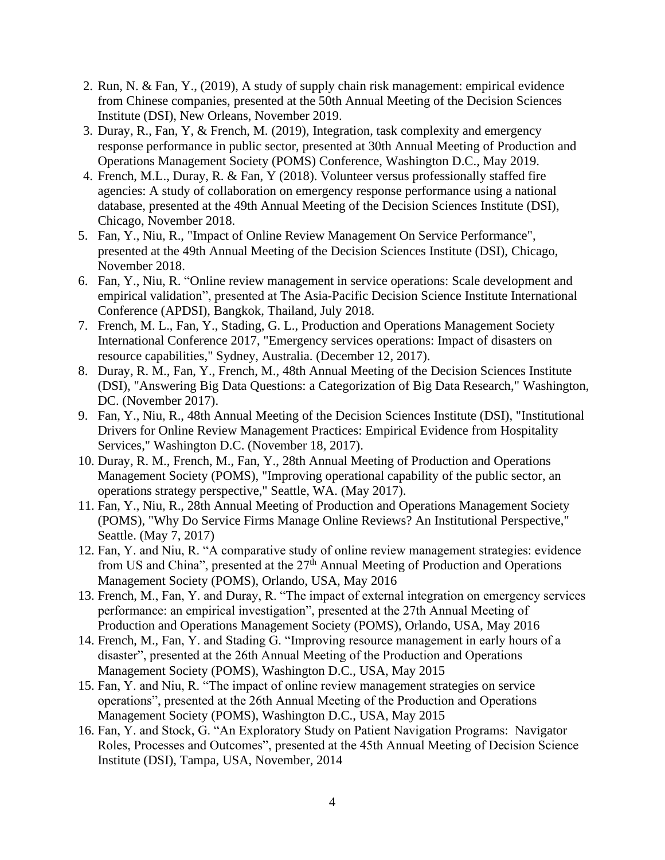- 2. Run, N. & Fan, Y., (2019), A study of supply chain risk management: empirical evidence from Chinese companies, presented at the 50th Annual Meeting of the Decision Sciences Institute (DSI), New Orleans, November 2019.
- 3. Duray, R., Fan, Y, & French, M. (2019), Integration, task complexity and emergency response performance in public sector, presented at 30th Annual Meeting of Production and Operations Management Society (POMS) Conference, Washington D.C., May 2019.
- 4. French, M.L., Duray, R. & Fan, Y (2018). Volunteer versus professionally staffed fire agencies: A study of collaboration on emergency response performance using a national database, presented at the 49th Annual Meeting of the Decision Sciences Institute (DSI), Chicago, November 2018.
- 5. Fan, Y., Niu, R., "Impact of Online Review Management On Service Performance", presented at the 49th Annual Meeting of the Decision Sciences Institute (DSI), Chicago, November 2018.
- 6. Fan, Y., Niu, R. "Online review management in service operations: Scale development and empirical validation", presented at The Asia-Pacific Decision Science Institute International Conference (APDSI), Bangkok, Thailand, July 2018.
- 7. French, M. L., Fan, Y., Stading, G. L., Production and Operations Management Society International Conference 2017, "Emergency services operations: Impact of disasters on resource capabilities," Sydney, Australia. (December 12, 2017).
- 8. Duray, R. M., Fan, Y., French, M., 48th Annual Meeting of the Decision Sciences Institute (DSI), "Answering Big Data Questions: a Categorization of Big Data Research," Washington, DC. (November 2017).
- 9. Fan, Y., Niu, R., 48th Annual Meeting of the Decision Sciences Institute (DSI), "Institutional Drivers for Online Review Management Practices: Empirical Evidence from Hospitality Services," Washington D.C. (November 18, 2017).
- 10. Duray, R. M., French, M., Fan, Y., 28th Annual Meeting of Production and Operations Management Society (POMS), "Improving operational capability of the public sector, an operations strategy perspective," Seattle, WA. (May 2017).
- 11. Fan, Y., Niu, R., 28th Annual Meeting of Production and Operations Management Society (POMS), "Why Do Service Firms Manage Online Reviews? An Institutional Perspective," Seattle. (May 7, 2017)
- 12. Fan, Y. and Niu, R. "A comparative study of online review management strategies: evidence from US and China", presented at the  $27<sup>th</sup>$  Annual Meeting of Production and Operations Management Society (POMS), Orlando, USA, May 2016
- 13. French, M., Fan, Y. and Duray, R. "The impact of external integration on emergency services performance: an empirical investigation", presented at the 27th Annual Meeting of Production and Operations Management Society (POMS), Orlando, USA, May 2016
- 14. French, M., Fan, Y. and Stading G. "Improving resource management in early hours of a disaster", presented at the 26th Annual Meeting of the Production and Operations Management Society (POMS), Washington D.C., USA, May 2015
- 15. Fan, Y. and Niu, R. "The impact of online review management strategies on service operations", presented at the 26th Annual Meeting of the Production and Operations Management Society (POMS), Washington D.C., USA, May 2015
- 16. Fan, Y. and Stock, G. "An Exploratory Study on Patient Navigation Programs: Navigator Roles, Processes and Outcomes", presented at the 45th Annual Meeting of Decision Science Institute (DSI), Tampa, USA, November, 2014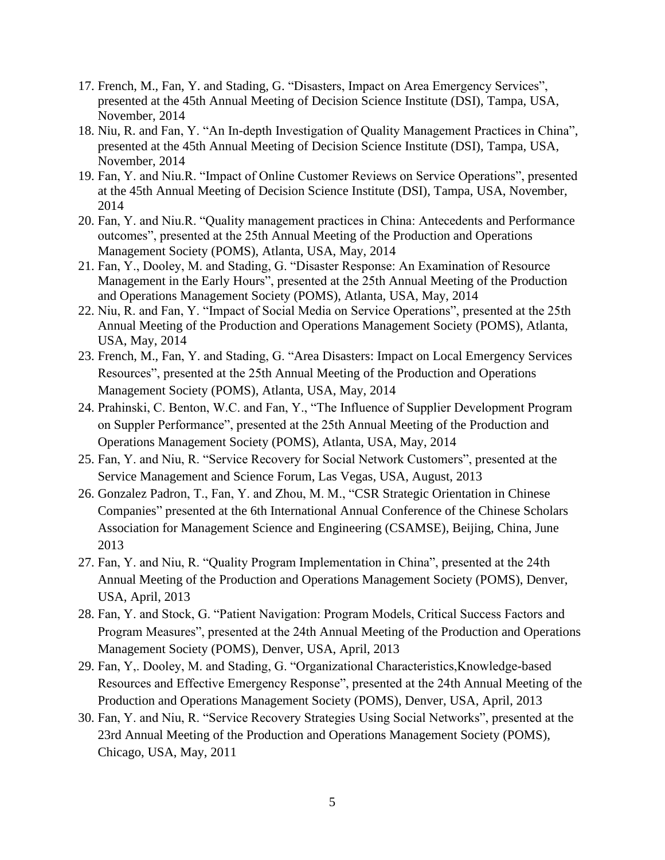- 17. French, M., Fan, Y. and Stading, G. "Disasters, Impact on Area Emergency Services", presented at the 45th Annual Meeting of Decision Science Institute (DSI), Tampa, USA, November, 2014
- 18. Niu, R. and Fan, Y. "An In-depth Investigation of Quality Management Practices in China", presented at the 45th Annual Meeting of Decision Science Institute (DSI), Tampa, USA, November, 2014
- 19. Fan, Y. and Niu.R. "Impact of Online Customer Reviews on Service Operations", presented at the 45th Annual Meeting of Decision Science Institute (DSI), Tampa, USA, November, 2014
- 20. Fan, Y. and Niu.R. "Quality management practices in China: Antecedents and Performance outcomes", presented at the 25th Annual Meeting of the Production and Operations Management Society (POMS), Atlanta, USA, May, 2014
- 21. Fan, Y., Dooley, M. and Stading, G. "Disaster Response: An Examination of Resource Management in the Early Hours", presented at the 25th Annual Meeting of the Production and Operations Management Society (POMS), Atlanta, USA, May, 2014
- 22. Niu, R. and Fan, Y. "Impact of Social Media on Service Operations", presented at the 25th Annual Meeting of the Production and Operations Management Society (POMS), Atlanta, USA, May, 2014
- 23. French, M., Fan, Y. and Stading, G. "Area Disasters: Impact on Local Emergency Services Resources", presented at the 25th Annual Meeting of the Production and Operations Management Society (POMS), Atlanta, USA, May, 2014
- 24. Prahinski, C. Benton, W.C. and Fan, Y., "The Influence of Supplier Development Program on Suppler Performance", presented at the 25th Annual Meeting of the Production and Operations Management Society (POMS), Atlanta, USA, May, 2014
- 25. Fan, Y. and Niu, R. "Service Recovery for Social Network Customers", presented at the Service Management and Science Forum, Las Vegas, USA, August, 2013
- 26. Gonzalez Padron, T., Fan, Y. and Zhou, M. M., "CSR Strategic Orientation in Chinese Companies" presented at the 6th International Annual Conference of the Chinese Scholars Association for Management Science and Engineering (CSAMSE), Beijing, China, June 2013
- 27. Fan, Y. and Niu, R. "Quality Program Implementation in China", presented at the 24th Annual Meeting of the Production and Operations Management Society (POMS), Denver, USA, April, 2013
- 28. Fan, Y. and Stock, G. "Patient Navigation: Program Models, Critical Success Factors and Program Measures", presented at the 24th Annual Meeting of the Production and Operations Management Society (POMS), Denver, USA, April, 2013
- 29. Fan, Y,. Dooley, M. and Stading, G. "Organizational Characteristics,Knowledge-based Resources and Effective Emergency Response", presented at the 24th Annual Meeting of the Production and Operations Management Society (POMS), Denver, USA, April, 2013
- 30. Fan, Y. and Niu, R. "Service Recovery Strategies Using Social Networks", presented at the 23rd Annual Meeting of the Production and Operations Management Society (POMS), Chicago, USA, May, 2011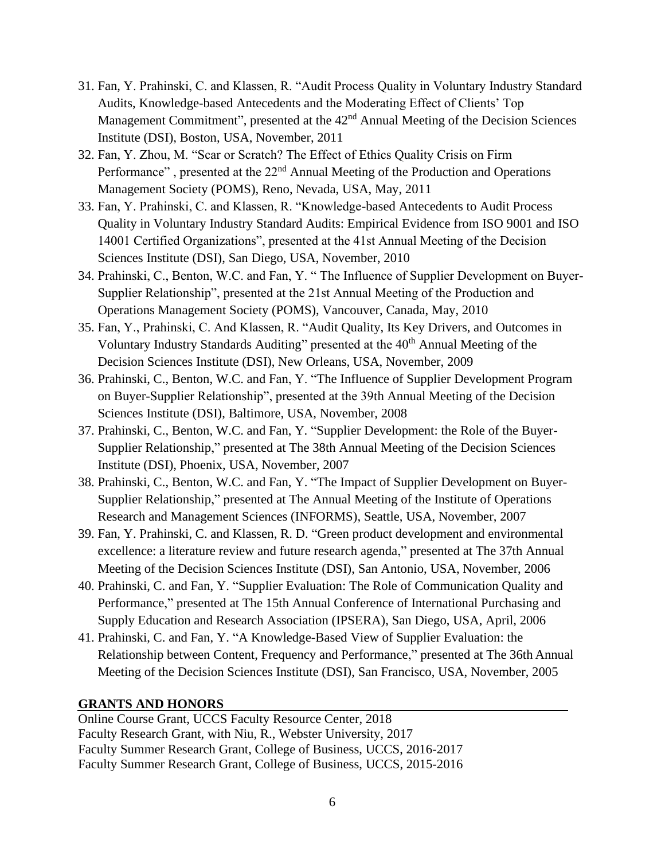- 31. Fan, Y. Prahinski, C. and Klassen, R. "Audit Process Quality in Voluntary Industry Standard Audits, Knowledge-based Antecedents and the Moderating Effect of Clients' Top Management Commitment", presented at the 42<sup>nd</sup> Annual Meeting of the Decision Sciences Institute (DSI), Boston, USA, November, 2011
- 32. Fan, Y. Zhou, M. "Scar or Scratch? The Effect of Ethics Quality Crisis on Firm Performance", presented at the 22<sup>nd</sup> Annual Meeting of the Production and Operations Management Society (POMS), Reno, Nevada, USA, May, 2011
- 33. Fan, Y. Prahinski, C. and Klassen, R. "Knowledge-based Antecedents to Audit Process Quality in Voluntary Industry Standard Audits: Empirical Evidence from ISO 9001 and ISO 14001 Certified Organizations", presented at the 41st Annual Meeting of the Decision Sciences Institute (DSI), San Diego, USA, November, 2010
- 34. Prahinski, C., Benton, W.C. and Fan, Y. " The Influence of Supplier Development on Buyer-Supplier Relationship", presented at the 21st Annual Meeting of the Production and Operations Management Society (POMS), Vancouver, Canada, May, 2010
- 35. Fan, Y., Prahinski, C. And Klassen, R. "Audit Quality, Its Key Drivers, and Outcomes in Voluntary Industry Standards Auditing" presented at the 40<sup>th</sup> Annual Meeting of the Decision Sciences Institute (DSI), New Orleans, USA, November, 2009
- 36. Prahinski, C., Benton, W.C. and Fan, Y. "The Influence of Supplier Development Program on Buyer-Supplier Relationship", presented at the 39th Annual Meeting of the Decision Sciences Institute (DSI), Baltimore, USA, November, 2008
- 37. Prahinski, C., Benton, W.C. and Fan, Y. "Supplier Development: the Role of the Buyer-Supplier Relationship," presented at The 38th Annual Meeting of the Decision Sciences Institute (DSI), Phoenix, USA, November, 2007
- 38. Prahinski, C., Benton, W.C. and Fan, Y. "The Impact of Supplier Development on Buyer-Supplier Relationship," presented at The Annual Meeting of the Institute of Operations Research and Management Sciences (INFORMS), Seattle, USA, November, 2007
- 39. Fan, Y. Prahinski, C. and Klassen, R. D. "Green product development and environmental excellence: a literature review and future research agenda," presented at The 37th Annual Meeting of the Decision Sciences Institute (DSI), San Antonio, USA, November, 2006
- 40. Prahinski, C. and Fan, Y. "Supplier Evaluation: The Role of Communication Quality and Performance," presented at The 15th Annual Conference of International Purchasing and Supply Education and Research Association (IPSERA), San Diego, USA, April, 2006
- 41. Prahinski, C. and Fan, Y. "A Knowledge-Based View of Supplier Evaluation: the Relationship between Content, Frequency and Performance," presented at The 36th Annual Meeting of the Decision Sciences Institute (DSI), San Francisco, USA, November, 2005

# **GRANTS AND HONORS**

Online Course Grant, UCCS Faculty Resource Center, 2018 Faculty Research Grant, with Niu, R., Webster University, 2017 Faculty Summer Research Grant, College of Business, UCCS, 2016-2017 Faculty Summer Research Grant, College of Business, UCCS, 2015-2016